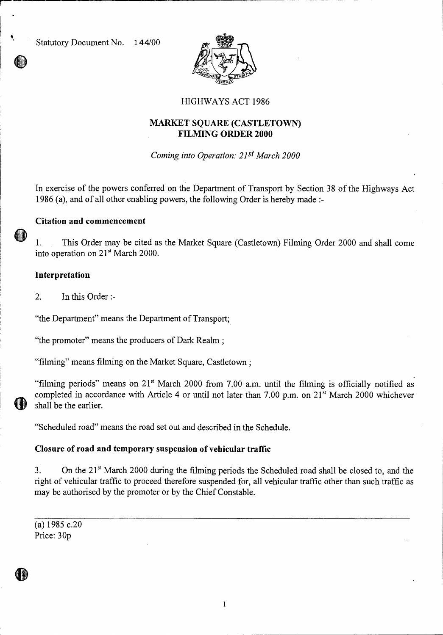Statutory Document No. 144/00



# HIGHWAYS ACT 1986

# **MARKET SQUARE (CASTLETOWN) FILMING ORDER 2000**

*Coming into Operation: 21st March 2000* 

In exercise of the powers conferred on the Department of Transport by Section 38 of the Highways Act 1986 (a), and of all other enabling powers, the following Order is hereby made **:-** 

### **Citation and commencement**

1. This Order may be cited as the Market Square (Castletown) Filming Order 2000 and shall come into operation on 21<sup>st</sup> March 2000.

### **Interpretation**

2. In this Order :-

"the Department" means the Department of Transport;

"the promoter" means the producers of Dark Realm;

"filming" means filming on the Market Square, Castletown ;

"filming periods" means on  $21<sup>st</sup>$  March 2000 from 7.00 a.m. until the filming is officially notified as completed in accordance with Article 4 or until not later than 7.00 p.m. on 21<sup>st</sup> March 2000 whichever shall be the earlier.

"Scheduled road" means the road set out and described in the Schedule.

## **Closure of road and temporary suspension of vehicular traffic**

3. On the 21' March 2000 during the filming periods the Scheduled road shall be closed to, and the right of vehicular traffic to proceed therefore suspended for, all vehicular traffic other than such traffic as may be authorised by the promoter or by the Chief Constable.

(a) 1985 c.20 Price: 30p

 $\mathbf{1}$